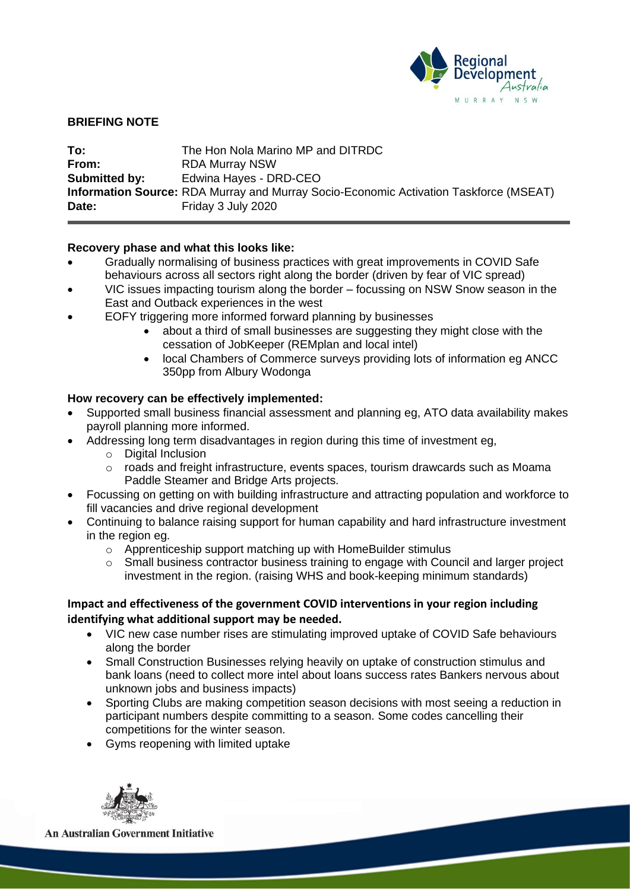

## **BRIEFING NOTE**

| To:           | The Hon Nola Marino MP and DITRDC                                                            |
|---------------|----------------------------------------------------------------------------------------------|
| From:         | <b>RDA Murray NSW</b>                                                                        |
| Submitted by: | Edwina Hayes - DRD-CEO                                                                       |
|               | <b>Information Source:</b> RDA Murray and Murray Socio-Economic Activation Taskforce (MSEAT) |
| Date:         | Friday 3 July 2020                                                                           |

## **Recovery phase and what this looks like:**

- Gradually normalising of business practices with great improvements in COVID Safe behaviours across all sectors right along the border (driven by fear of VIC spread)
- VIC issues impacting tourism along the border focussing on NSW Snow season in the East and Outback experiences in the west
- EOFY triggering more informed forward planning by businesses
	- about a third of small businesses are suggesting they might close with the cessation of JobKeeper (REMplan and local intel)
	- local Chambers of Commerce surveys providing lots of information eg ANCC 350pp from Albury Wodonga

## **How recovery can be effectively implemented:**

- Supported small business financial assessment and planning eg, ATO data availability makes payroll planning more informed.
- Addressing long term disadvantages in region during this time of investment eg,
	- o Digital Inclusion
	- o roads and freight infrastructure, events spaces, tourism drawcards such as Moama Paddle Steamer and Bridge Arts projects.
- Focussing on getting on with building infrastructure and attracting population and workforce to fill vacancies and drive regional development
- Continuing to balance raising support for human capability and hard infrastructure investment in the region eg.
	- o Apprenticeship support matching up with HomeBuilder stimulus
	- o Small business contractor business training to engage with Council and larger project investment in the region. (raising WHS and book-keeping minimum standards)

# **Impact and effectiveness of the government COVID interventions in your region including identifying what additional support may be needed.**

- VIC new case number rises are stimulating improved uptake of COVID Safe behaviours along the border
- Small Construction Businesses relying heavily on uptake of construction stimulus and bank loans (need to collect more intel about loans success rates Bankers nervous about unknown jobs and business impacts)
- Sporting Clubs are making competition season decisions with most seeing a reduction in participant numbers despite committing to a season. Some codes cancelling their competitions for the winter season.
- Gyms reopening with limited uptake



**An Australian Government Initiative**